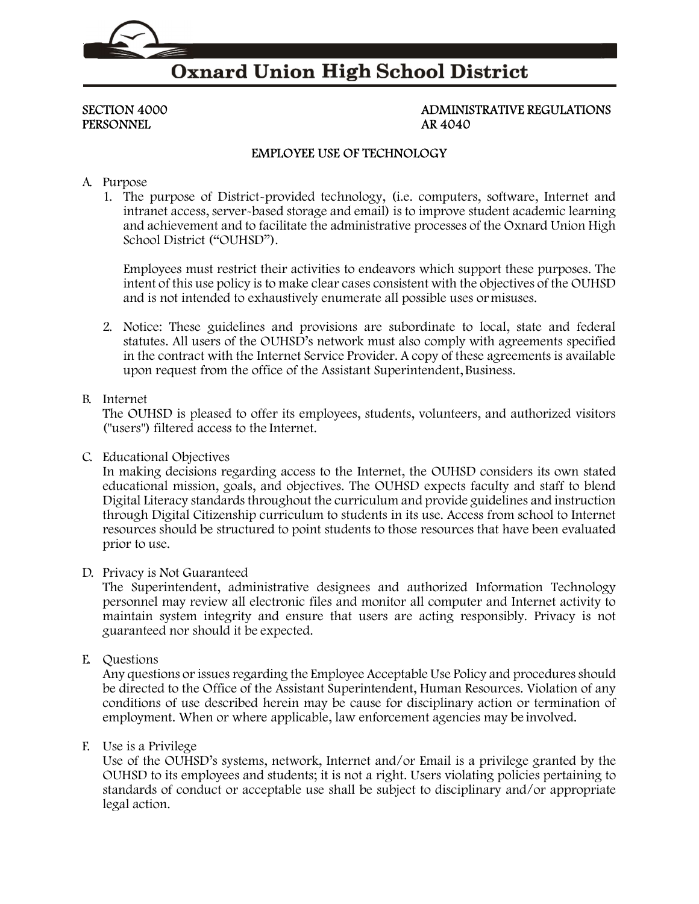

# **Oxnard Union High School District**

# PERSONNEL AR 4040

# SECTION 4000 ADMINISTRATIVE REGULATIONS

### EMPLOYEE USE OF TECHNOLOGY

#### A. Purpose

1. The purpose of District-provided technology, (i.e. computers, software, Internet and intranet access, server-based storage and email) is to improve student academic learning and achievement and to facilitate the administrative processes of the Oxnard Union High School District ("OUHSD").

Employees must restrict their activities to endeavors which support these purposes. The intent of this use policy is to make clear cases consistent with the objectives of the OUHSD and is not intended to exhaustively enumerate all possible uses or misuses.

2. Notice: These guidelines and provisions are subordinate to local, state and federal statutes. All users of the OUHSD's network must also comply with agreements specified in the contract with the Internet Service Provider. A copy of these agreements is available upon request from the office of the Assistant Superintendent, Business.

#### B. Internet

The OUHSD is pleased to offer its employees, students, volunteers, and authorized visitors ("users") filtered access to the Internet.

C. Educational Objectives

In making decisions regarding access to the Internet, the OUHSD considers its own stated educational mission, goals, and objectives. The OUHSD expects faculty and staff to blend Digital Literacy standards throughout the curriculum and provide guidelines and instruction through Digital Citizenship curriculum to students in its use. Access from school to Internet resources should be structured to point students to those resources that have been evaluated prior to use.

#### D. Privacy is Not Guaranteed

The Superintendent, administrative designees and authorized Information Technology personnel may review all electronic files and monitor all computer and Internet activity to maintain system integrity and ensure that users are acting responsibly. Privacy is not guaranteed nor should it be expected.

E. Questions

Any questions or issues regarding the Employee Acceptable Use Policy and procedures should be directed to the Office of the Assistant Superintendent, Human Resources. Violation of any conditions of use described herein may be cause for disciplinary action or termination of employment. When or where applicable, law enforcement agencies may be involved.

#### F. Use is a Privilege

Use of the OUHSD's systems, network, Internet and/or Email is a privilege granted by the OUHSD to its employees and students; it is not a right. Users violating policies pertaining to standards of conduct or acceptable use shall be subject to disciplinary and/or appropriate legal action.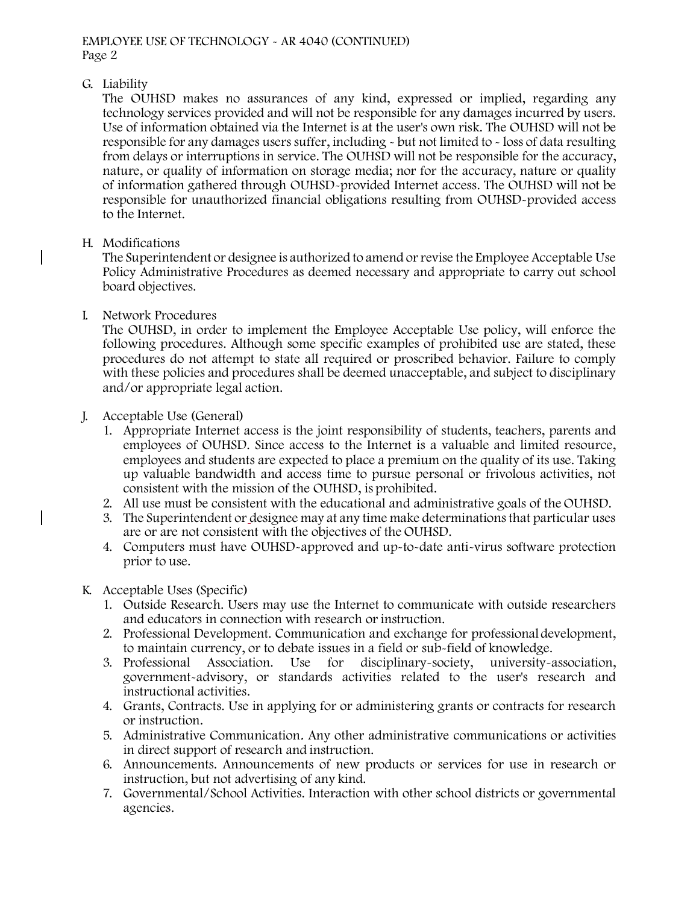### G. Liability

The OUHSD makes no assurances of any kind, expressed or implied, regarding any technology services provided and will not be responsible for any damages incurred by users. Use of information obtained via the Internet is at the user's own risk. The OUHSD will not be responsible for any damages users suffer, including - but not limited to - loss of data resulting from delays or interruptions in service. The OUHSD will not be responsible for the accuracy, nature, or quality of information on storage media; nor for the accuracy, nature or quality of information gathered through OUHSD-provided Internet access. The OUHSD will not be responsible for unauthorized financial obligations resulting from OUHSD-provided access to the Internet.

## H. Modifications

The Superintendent or designee is authorized to amend or revise the Employee Acceptable Use Policy Administrative Procedures as deemed necessary and appropriate to carry out school board objectives.

## I. Network Procedures

The OUHSD, in order to implement the Employee Acceptable Use policy, will enforce the following procedures. Although some specific examples of prohibited use are stated, these procedures do not attempt to state all required or proscribed behavior. Failure to comply with these policies and procedures shall be deemed unacceptable, and subject to disciplinary and/or appropriate legal action.

# J. Acceptable Use (General)

- 1. Appropriate Internet access is the joint responsibility of students, teachers, parents and employees of OUHSD. Since access to the Internet is a valuable and limited resource, employees and students are expected to place a premium on the quality of its use. Taking up valuable bandwidth and access time to pursue personal or frivolous activities, not consistent with the mission of the OUHSD, is prohibited.
- 2. All use must be consistent with the educational and administrative goals of the OUHSD.
- 3. The Superintendent or designee may at any time make determinations that particular uses are or are not consistent with the objectives of the OUHSD.
- 4. Computers must have OUHSD-approved and up-to-date anti-virus software protection prior to use.

# K. Acceptable Uses (Specific)

- 1. Outside Research. Users may use the Internet to communicate with outside researchers and educators in connection with research or instruction.
- 2. Professional Development. Communication and exchange for professional development, to maintain currency, or to debate issues in a field or sub-field of knowledge.
- 3. Professional Association. Use for disciplinary-society, university-association, government-advisory, or standards activities related to the user's research and instructional activities.
- 4. Grants, Contracts. Use in applying for or administering grants or contracts for research or instruction.
- 5. Administrative Communication. Any other administrative communications or activities in direct support of research and instruction.
- 6. Announcements. Announcements of new products or services for use in research or instruction, but not advertising of any kind.
- 7. Governmental/School Activities. Interaction with other school districts or governmental agencies.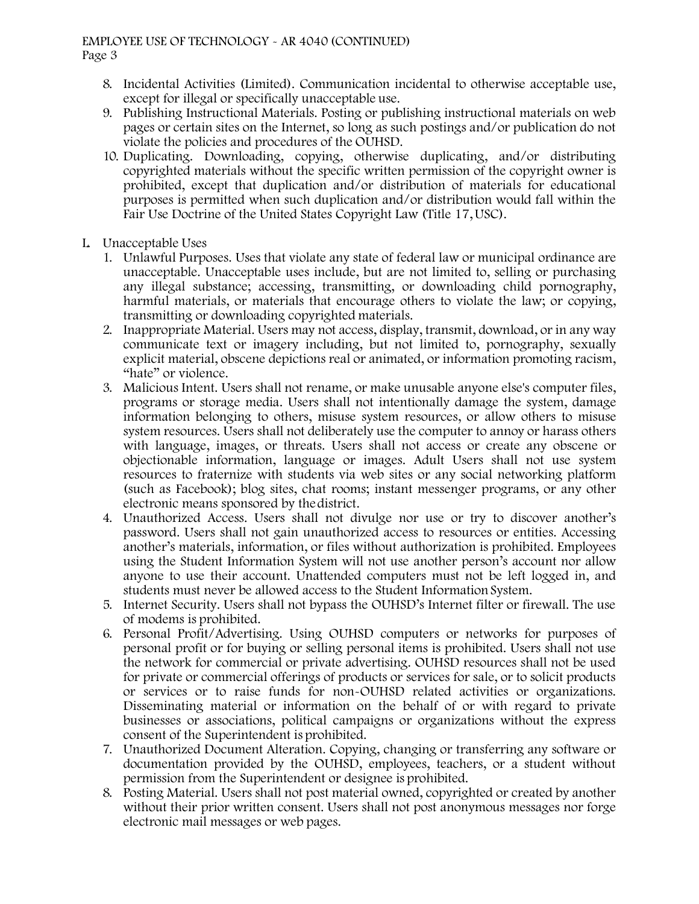#### EMPLOYEE USE OF TECHNOLOGY - AR 4040 (CONTINUED) Page 3

- 8. Incidental Activities (Limited). Communication incidental to otherwise acceptable use, except for illegal or specifically unacceptable use.
- 9. Publishing Instructional Materials. Posting or publishing instructional materials on web pages or certain sites on the Internet, so long as such postings and/or publication do not violate the policies and procedures of the OUHSD.
- 10. Duplicating. Downloading, copying, otherwise duplicating, and/or distributing copyrighted materials without the specific written permission of the copyright owner is prohibited, except that duplication and/or distribution of materials for educational purposes is permitted when such duplication and/or distribution would fall within the Fair Use Doctrine of the United States Copyright Law (Title 17, USC).
- L. Unacceptable Uses
	- 1. Unlawful Purposes. Uses that violate any state of federal law or municipal ordinance are unacceptable. Unacceptable uses include, but are not limited to, selling or purchasing any illegal substance; accessing, transmitting, or downloading child pornography, harmful materials, or materials that encourage others to violate the law; or copying, transmitting or downloading copyrighted materials.
	- 2. Inappropriate Material. Users may not access, display, transmit, download, or in any way communicate text or imagery including, but not limited to, pornography, sexually explicit material, obscene depictions real or animated, or information promoting racism, "hate" or violence.
	- 3. Malicious Intent. Users shall not rename, or make unusable anyone else's computer files, programs or storage media. Users shall not intentionally damage the system, damage information belonging to others, misuse system resources, or allow others to misuse system resources. Users shall not deliberately use the computer to annoy or harass others with language, images, or threats. Users shall not access or create any obscene or objectionable information, language or images. Adult Users shall not use system resources to fraternize with students via web sites or any social networking platform (such as Facebook); blog sites, chat rooms; instant messenger programs, or any other electronic means sponsored by the district.
	- 4. Unauthorized Access. Users shall not divulge nor use or try to discover another's password. Users shall not gain unauthorized access to resources or entities. Accessing another's materials, information, or files without authorization is prohibited. Employees using the Student Information System will not use another person's account nor allow anyone to use their account. Unattended computers must not be left logged in, and students must never be allowed access to the Student Information System.
	- 5. Internet Security. Users shall not bypass the OUHSD's Internet filter or firewall. The use of modems is prohibited.
	- 6. Personal Profit/Advertising. Using OUHSD computers or networks for purposes of personal profit or for buying or selling personal items is prohibited. Users shall not use the network for commercial or private advertising. OUHSD resources shall not be used for private or commercial offerings of products or services for sale, or to solicit products or services or to raise funds for non-OUHSD related activities or organizations. Disseminating material or information on the behalf of or with regard to private businesses or associations, political campaigns or organizations without the express consent of the Superintendent is prohibited.
	- 7. Unauthorized Document Alteration. Copying, changing or transferring any software or documentation provided by the OUHSD, employees, teachers, or a student without permission from the Superintendent or designee is prohibited.
	- 8. Posting Material. Users shall not post material owned, copyrighted or created by another without their prior written consent. Users shall not post anonymous messages nor forge electronic mail messages or web pages.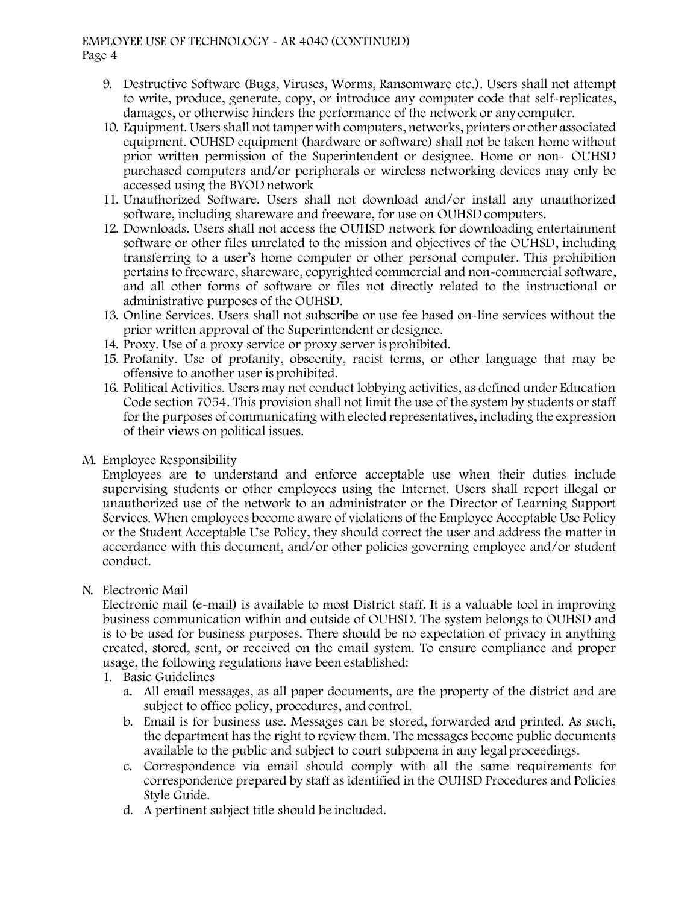#### EMPLOYEE USE OF TECHNOLOGY - AR 4040 (CONTINUED) Page 4

- 9. Destructive Software (Bugs, Viruses, Worms, Ransomware etc.). Users shall not attempt to write, produce, generate, copy, or introduce any computer code that self-replicates, damages, or otherwise hinders the performance of the network or any computer.
- 10. Equipment. Users shall not tamper with computers, networks, printers or other associated equipment. OUHSD equipment (hardware or software) shall not be taken home without prior written permission of the Superintendent or designee. Home or non- OUHSD purchased computers and/or peripherals or wireless networking devices may only be accessed using the BYOD network
- 11. Unauthorized Software. Users shall not download and/or install any unauthorized software, including shareware and freeware, for use on OUHSD computers.
- 12. Downloads. Users shall not access the OUHSD network for downloading entertainment software or other files unrelated to the mission and objectives of the OUHSD, including transferring to a user's home computer or other personal computer. This prohibition pertains to freeware, shareware, copyrighted commercial and non-commercial software, and all other forms of software or files not directly related to the instructional or administrative purposes of the OUHSD.
- 13. Online Services. Users shall not subscribe or use fee based on-line services without the prior written approval of the Superintendent or designee.
- 14. Proxy. Use of a proxy service or proxy server is prohibited.
- 15. Profanity. Use of profanity, obscenity, racist terms, or other language that may be offensive to another user is prohibited.
- 16. Political Activities. Users may not conduct lobbying activities, as defined under Education Code section 7054. This provision shall not limit the use of the system by students or staff for the purposes of communicating with elected representatives, including the expression of their views on political issues.
- M. Employee Responsibility

Employees are to understand and enforce acceptable use when their duties include supervising students or other employees using the Internet. Users shall report illegal or unauthorized use of the network to an administrator or the Director of Learning Support Services. When employees become aware of violations of the Employee Acceptable Use Policy or the Student Acceptable Use Policy, they should correct the user and address the matter in accordance with this document, and/or other policies governing employee and/or student conduct.

N. Electronic Mail

Electronic mail (e-mail) is available to most District staff. It is a valuable tool in improving business communication within and outside of OUHSD. The system belongs to OUHSD and is to be used for business purposes. There should be no expectation of privacy in anything created, stored, sent, or received on the email system. To ensure compliance and proper usage, the following regulations have been established:

- 1. Basic Guidelines
	- a. All email messages, as all paper documents, are the property of the district and are subject to office policy, procedures, and control.
	- b. Email is for business use. Messages can be stored, forwarded and printed. As such, the department has the right to review them. The messages become public documents available to the public and subject to court subpoena in any legal proceedings.
	- c. Correspondence via email should comply with all the same requirements for correspondence prepared by staff as identified in the OUHSD Procedures and Policies Style Guide.
	- d. A pertinent subject title should be included.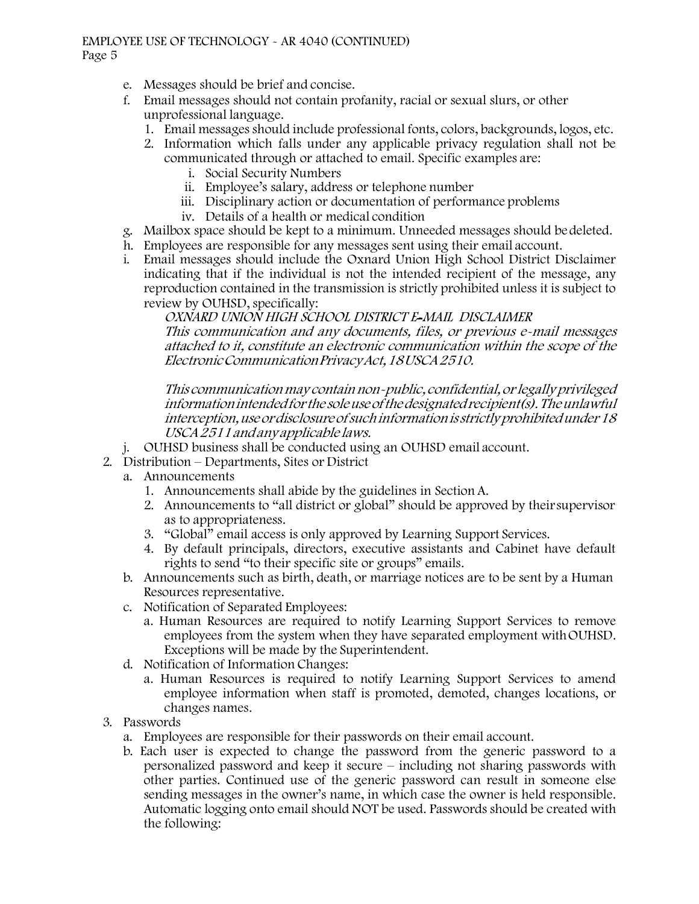#### EMPLOYEE USE OF TECHNOLOGY - AR 4040 (CONTINUED) Page 5

- e. Messages should be brief and concise.
- f. Email messages should not contain profanity, racial or sexual slurs, or other unprofessional language.
	- 1. Email messages should include professional fonts, colors, backgrounds, logos, etc.
	- 2. Information which falls under any applicable privacy regulation shall not be communicated through or attached to email. Specific examples are:
		- i. Social Security Numbers
		- ii. Employee's salary, address or telephone number
		- iii. Disciplinary action or documentation of performance problems
		- iv. Details of a health or medical condition
- g. Mailbox space should be kept to a minimum. Unneeded messages should be deleted.
- h. Employees are responsible for any messages sent using their email account.
- i. Email messages should include the Oxnard Union High School District Disclaimer indicating that if the individual is not the intended recipient of the message, any reproduction contained in the transmission is strictly prohibited unless it is subject to review by OUHSD, specifically:

OXNARD UNION HIGH SCHOOL DISTRICT E-MAIL DISCLAIMER This communication and any documents, files, or previous e-mail messages attached to it, constitute an electronic communication within the scope of the Electronic Communication Privacy Act, 18 USCA 2510.

This communication may contain non-public, confidential, or legally privileged information intended for the sole use of the designated recipient(s). The unlawful interception, use or disclosure of such information is strictly prohibited under 18 USCA 2511 and any applicable laws.

- j. OUHSD business shall be conducted using an OUHSD email account.
- 2. Distribution Departments, Sites or District
	- a. Announcements
		- 1. Announcements shall abide by the guidelines in Section A.
		- 2. Announcements to "all district or global" should be approved by their supervisor as to appropriateness.
		- 3. "Global" email access is only approved by Learning Support Services.
		- 4. By default principals, directors, executive assistants and Cabinet have default rights to send "to their specific site or groups" emails.
	- b. Announcements such as birth, death, or marriage notices are to be sent by a Human Resources representative.
	- c. Notification of Separated Employees:
		- a. Human Resources are required to notify Learning Support Services to remove employees from the system when they have separated employment with OUHSD. Exceptions will be made by the Superintendent.
	- d. Notification of Information Changes:
		- a. Human Resources is required to notify Learning Support Services to amend employee information when staff is promoted, demoted, changes locations, or changes names.
- 3. Passwords
	- a. Employees are responsible for their passwords on their email account.
	- b. Each user is expected to change the password from the generic password to a personalized password and keep it secure – including not sharing passwords with other parties. Continued use of the generic password can result in someone else sending messages in the owner's name, in which case the owner is held responsible. Automatic logging onto email should NOT be used. Passwords should be created with the following: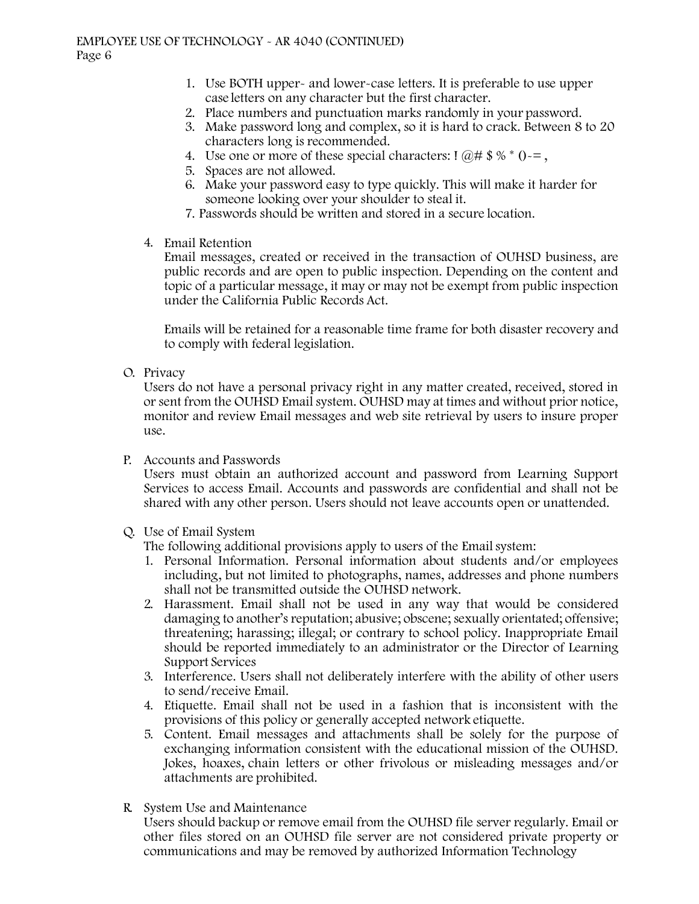- 1. Use BOTH upper- and lower-case letters. It is preferable to use upper case letters on any character but the first character.
- 2. Place numbers and punctuation marks randomly in your password.
- 3. Make password long and complex, so it is hard to crack. Between 8 to 20 characters long is recommended.
- 4. Use one or more of these special characters:  $\mathbb{R} \otimes \mathbb{R}^* = \mathbb{R} \otimes \mathbb{R}^* = \mathbb{R}$
- 5. Spaces are not allowed.
- 6. Make your password easy to type quickly. This will make it harder for someone looking over your shoulder to steal it.
- 7. Passwords should be written and stored in a secure location.
- 4. Email Retention

Email messages, created or received in the transaction of OUHSD business, are public records and are open to public inspection. Depending on the content and topic of a particular message, it may or may not be exempt from public inspection under the California Public Records Act.

Emails will be retained for a reasonable time frame for both disaster recovery and to comply with federal legislation.

O. Privacy

Users do not have a personal privacy right in any matter created, received, stored in or sent from the OUHSD Email system. OUHSD may at times and without prior notice, monitor and review Email messages and web site retrieval by users to insure proper use.

P. Accounts and Passwords

Users must obtain an authorized account and password from Learning Support Services to access Email. Accounts and passwords are confidential and shall not be shared with any other person. Users should not leave accounts open or unattended.

Q. Use of Email System

The following additional provisions apply to users of the Email system:

- 1. Personal Information. Personal information about students and/or employees including, but not limited to photographs, names, addresses and phone numbers shall not be transmitted outside the OUHSD network.
- 2. Harassment. Email shall not be used in any way that would be considered damaging to another's reputation; abusive; obscene; sexually orientated; offensive; threatening; harassing; illegal; or contrary to school policy. Inappropriate Email should be reported immediately to an administrator or the Director of Learning Support Services
- 3. Interference. Users shall not deliberately interfere with the ability of other users to send/receive Email.
- 4. Etiquette. Email shall not be used in a fashion that is inconsistent with the provisions of this policy or generally accepted network etiquette.
- 5. Content. Email messages and attachments shall be solely for the purpose of exchanging information consistent with the educational mission of the OUHSD. Jokes, hoaxes, chain letters or other frivolous or misleading messages and/or attachments are prohibited.
- R. System Use and Maintenance

Users should backup or remove email from the OUHSD file server regularly. Email or other files stored on an OUHSD file server are not considered private property or communications and may be removed by authorized Information Technology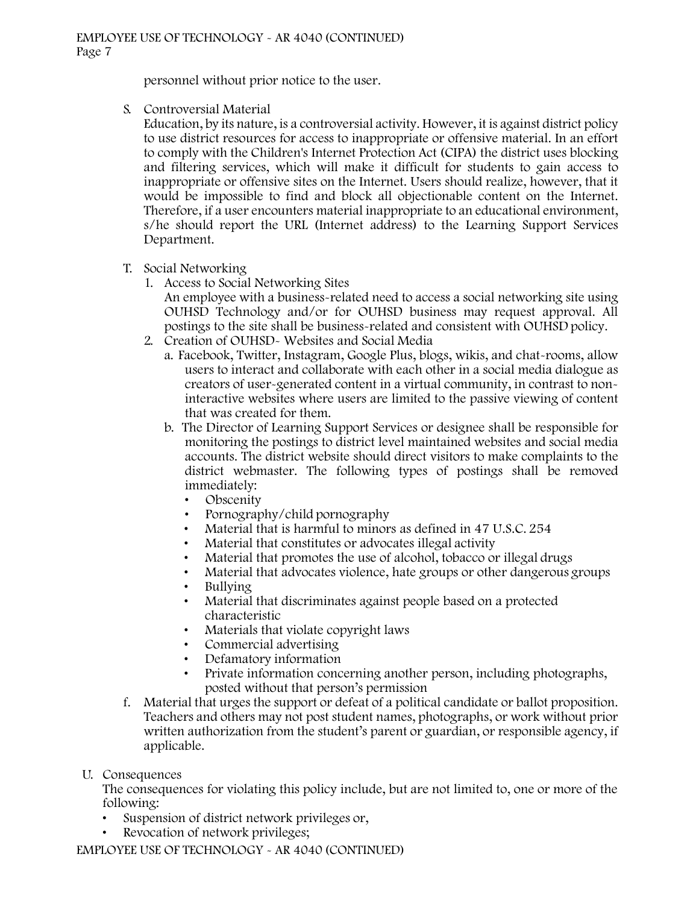personnel without prior notice to the user.

S. Controversial Material

Education, by its nature, is a controversial activity. However, it is against district policy to use district resources for access to inappropriate or offensive material. In an effort to comply with the Children's Internet Protection Act (CIPA) the district uses blocking and filtering services, which will make it difficult for students to gain access to inappropriate or offensive sites on the Internet. Users should realize, however, that it would be impossible to find and block all objectionable content on the Internet. Therefore, if a user encounters material inappropriate to an educational environment, s/he should report the URL (Internet address) to the Learning Support Services Department.

- T. Social Networking
	- 1. Access to Social Networking Sites An employee with a business-related need to access a social networking site using

OUHSD Technology and/or for OUHSD business may request approval. All postings to the site shall be business-related and consistent with OUHSD policy.

- 2. Creation of OUHSD- Websites and Social Media
	- a. Facebook, Twitter, Instagram, Google Plus, blogs, wikis, and chat-rooms, allow users to interact and collaborate with each other in a social media dialogue as creators of user-generated content in a virtual community, in contrast to noninteractive websites where users are limited to the passive viewing of content that was created for them.
	- b. The Director of Learning Support Services or designee shall be responsible for monitoring the postings to district level maintained websites and social media accounts. The district website should direct visitors to make complaints to the district webmaster. The following types of postings shall be removed immediately:
		- Obscenity
		- Pornography/child pornography
		- Material that is harmful to minors as defined in 47 U.S.C. 254
		- Material that constitutes or advocates illegal activity
		- Material that promotes the use of alcohol, tobacco or illegal drugs
		- Material that advocates violence, hate groups or other dangerous groups
		- Bullying
		- Material that discriminates against people based on a protected characteristic
		- Materials that violate copyright laws
		- Commercial advertising
		- Defamatory information
		- Private information concerning another person, including photographs, posted without that person's permission
- f. Material that urges the support or defeat of a political candidate or ballot proposition. Teachers and others may not post student names, photographs, or work without prior written authorization from the student's parent or guardian, or responsible agency, if applicable.
- U. Consequences

The consequences for violating this policy include, but are not limited to, one or more of the following:

- Suspension of district network privileges or,
- Revocation of network privileges;

EMPLOYEE USE OF TECHNOLOGY - AR 4040 (CONTINUED)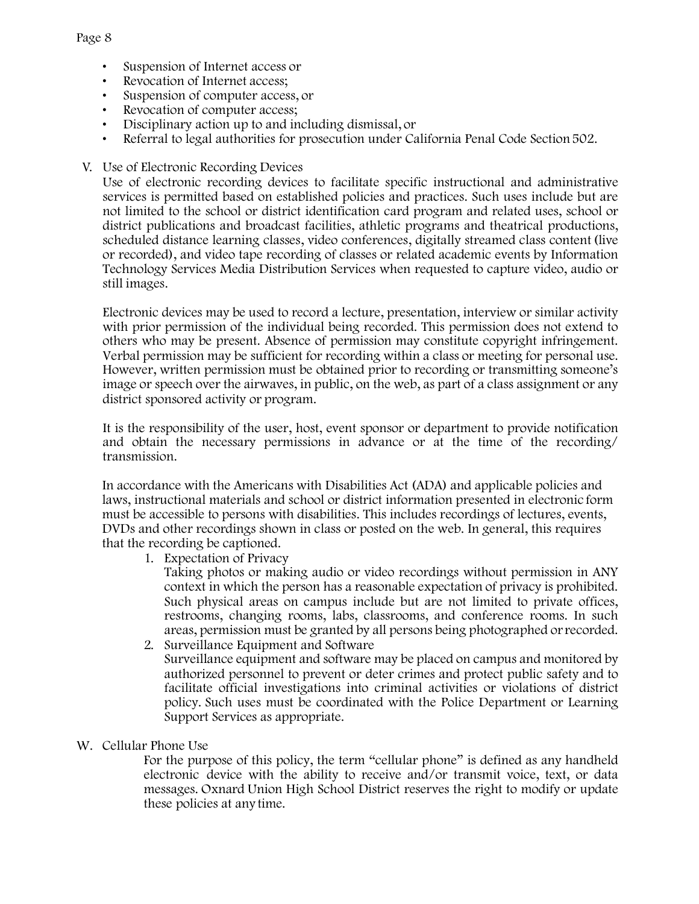#### Page 8

- Suspension of Internet access or
- Revocation of Internet access;
- Suspension of computer access, or
- Revocation of computer access;
- Disciplinary action up to and including dismissal, or
- Referral to legal authorities for prosecution under California Penal Code Section 502.
- V. Use of Electronic Recording Devices

Use of electronic recording devices to facilitate specific instructional and administrative services is permitted based on established policies and practices. Such uses include but are not limited to the school or district identification card program and related uses, school or district publications and broadcast facilities, athletic programs and theatrical productions, scheduled distance learning classes, video conferences, digitally streamed class content (live or recorded), and video tape recording of classes or related academic events by Information Technology Services Media Distribution Services when requested to capture video, audio or still images.

Electronic devices may be used to record a lecture, presentation, interview or similar activity with prior permission of the individual being recorded. This permission does not extend to others who may be present. Absence of permission may constitute copyright infringement. Verbal permission may be sufficient for recording within a class or meeting for personal use. However, written permission must be obtained prior to recording or transmitting someone's image or speech over the airwaves, in public, on the web, as part of a class assignment or any district sponsored activity or program.

It is the responsibility of the user, host, event sponsor or department to provide notification and obtain the necessary permissions in advance or at the time of the recording/ transmission.

In accordance with the Americans with Disabilities Act (ADA) and applicable policies and laws, instructional materials and school or district information presented in electronic form must be accessible to persons with disabilities. This includes recordings of lectures, events, DVDs and other recordings shown in class or posted on the web. In general, this requires that the recording be captioned.

1. Expectation of Privacy

Taking photos or making audio or video recordings without permission in ANY context in which the person has a reasonable expectation of privacy is prohibited. Such physical areas on campus include but are not limited to private offices, restrooms, changing rooms, labs, classrooms, and conference rooms. In such areas, permission must be granted by all persons being photographed or recorded.

- 2. Surveillance Equipment and Software Surveillance equipment and software may be placed on campus and monitored by authorized personnel to prevent or deter crimes and protect public safety and to facilitate official investigations into criminal activities or violations of district policy. Such uses must be coordinated with the Police Department or Learning Support Services as appropriate.
- W. Cellular Phone Use

For the purpose of this policy, the term "cellular phone" is defined as any handheld electronic device with the ability to receive and/or transmit voice, text, or data messages. Oxnard Union High School District reserves the right to modify or update these policies at any time.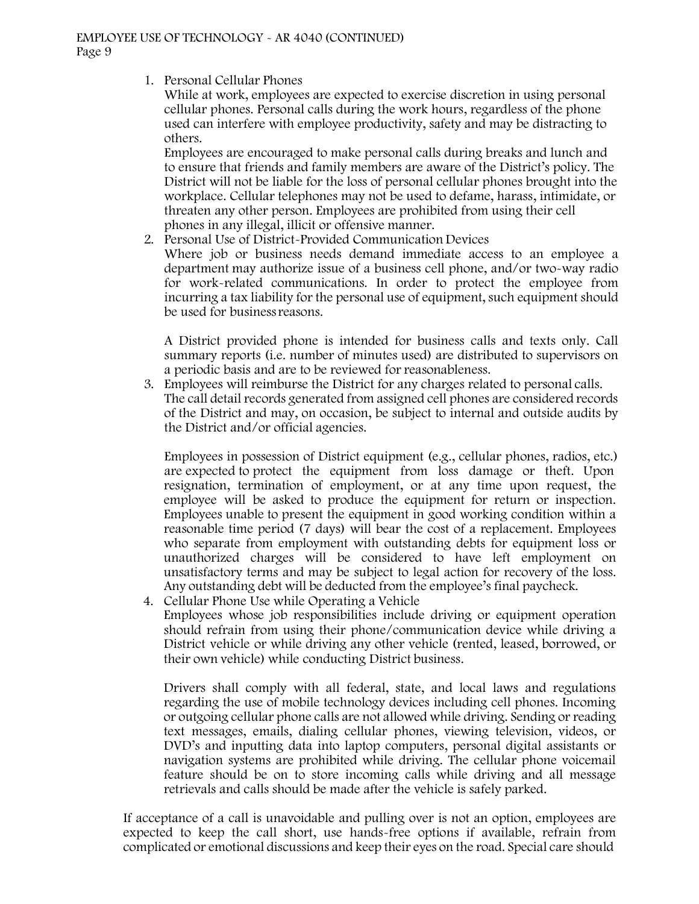1. Personal Cellular Phones

While at work, employees are expected to exercise discretion in using personal cellular phones. Personal calls during the work hours, regardless of the phone used can interfere with employee productivity, safety and may be distracting to others.

Employees are encouraged to make personal calls during breaks and lunch and to ensure that friends and family members are aware of the District's policy. The District will not be liable for the loss of personal cellular phones brought into the workplace. Cellular telephones may not be used to defame, harass, intimidate, or threaten any other person. Employees are prohibited from using their cell phones in any illegal, illicit or offensive manner.

2. Personal Use of District-Provided Communication Devices

Where job or business needs demand immediate access to an employee a department may authorize issue of a business cell phone, and/or two-way radio for work-related communications. In order to protect the employee from incurring a tax liability for the personal use of equipment, such equipment should be used for business reasons.

A District provided phone is intended for business calls and texts only. Call summary reports (i.e. number of minutes used) are distributed to supervisors on a periodic basis and are to be reviewed for reasonableness.

3. Employees will reimburse the District for any charges related to personal calls. The call detail records generated from assigned cell phones are considered records of the District and may, on occasion, be subject to internal and outside audits by the District and/or official agencies.

Employees in possession of District equipment (e.g., cellular phones, radios, etc.) are expected to protect the equipment from loss damage or theft. Upon resignation, termination of employment, or at any time upon request, the employee will be asked to produce the equipment for return or inspection. Employees unable to present the equipment in good working condition within a reasonable time period (7 days) will bear the cost of a replacement. Employees who separate from employment with outstanding debts for equipment loss or unauthorized charges will be considered to have left employment on unsatisfactory terms and may be subject to legal action for recovery of the loss. Any outstanding debt will be deducted from the employee's final paycheck.

4. Cellular Phone Use while Operating a Vehicle Employees whose job responsibilities include driving or equipment operation should refrain from using their phone/communication device while driving a District vehicle or while driving any other vehicle (rented, leased, borrowed, or their own vehicle) while conducting District business.

Drivers shall comply with all federal, state, and local laws and regulations regarding the use of mobile technology devices including cell phones. Incoming or outgoing cellular phone calls are not allowed while driving. Sending or reading text messages, emails, dialing cellular phones, viewing television, videos, or DVD's and inputting data into laptop computers, personal digital assistants or navigation systems are prohibited while driving. The cellular phone voicemail feature should be on to store incoming calls while driving and all message retrievals and calls should be made after the vehicle is safely parked.

If acceptance of a call is unavoidable and pulling over is not an option, employees are expected to keep the call short, use hands-free options if available, refrain from complicated or emotional discussions and keep their eyes on the road. Special care should